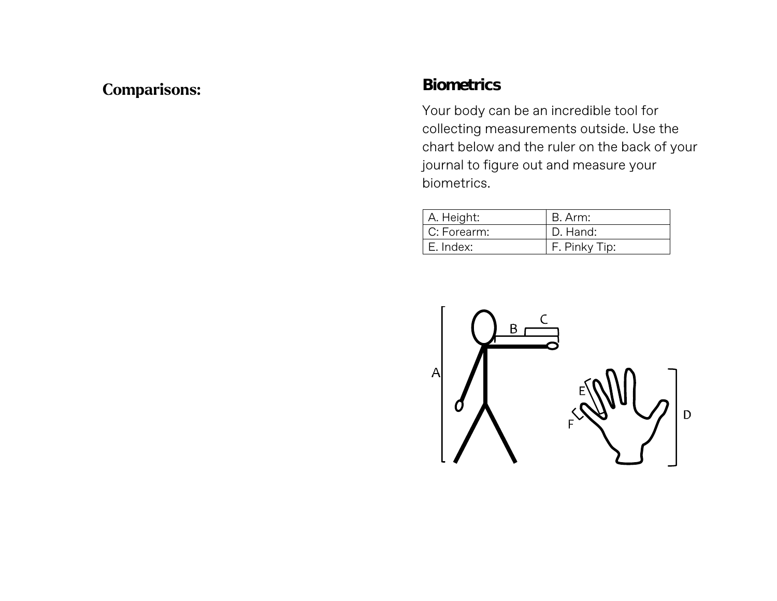## **Comparisons:**

### **Biometrics**

Your body can be an incredible tool for collecting measurements outside. Use the chart below and the ruler on the back of your journal to figure out and measure your biometrics.

| A. Height:  | B. Arm:       |
|-------------|---------------|
| C: Forearm: | D. Hand:      |
| E. Index:   | F. Pinky Tip: |

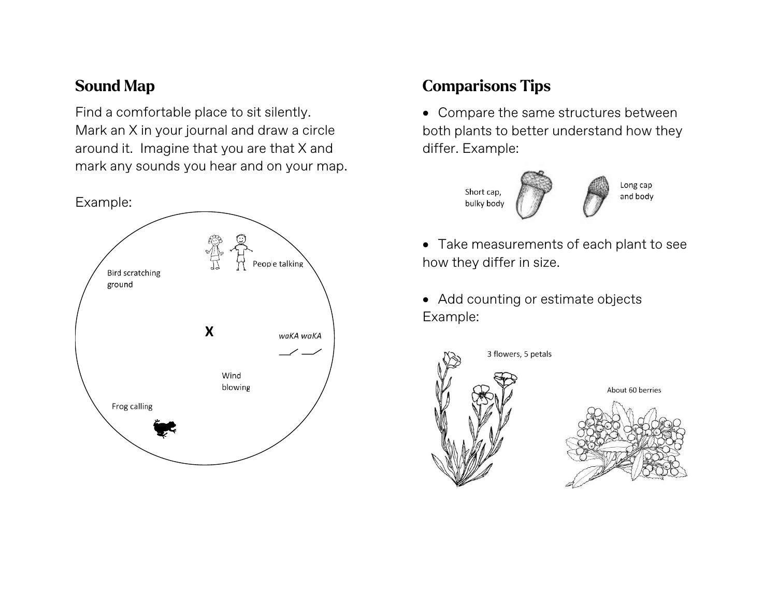### **Sound Map**

Find a comfortable place to sit silently. Mark an X in your journal and draw a circle around it. Imagine that you are that X and mark any sounds you hear and on your map.



# **Comparisons Tips**

• Compare the same structures between both plants to better understand how they differ. Example:



Long cap and body

- Take measurements of each plant to see how they differ in size.
- Add counting or estimate objects Example:

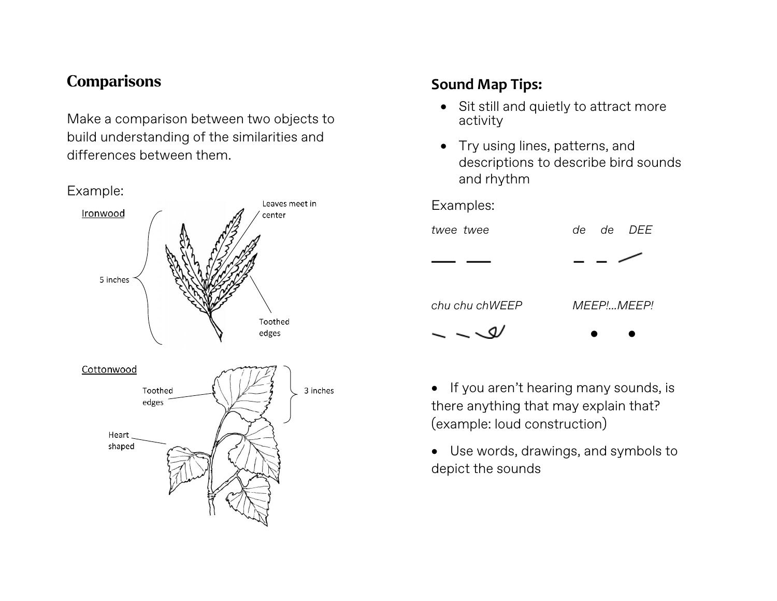### **Comparisons**

Make a comparison between two objects to build understanding of the similarities and differences between them.



### **Sound Map Tips:**

- Sit still and quietly to attract more activity
- Try using lines, patterns, and descriptions to describe bird sounds and rhythm

#### Examples:



*chu chu chWEEP MEEP!...MEEP!*

• •  $\sim$   $\sim$   $\sigma$ 

• If you aren't hearing many sounds, is there anything that may explain that? (example: loud construction)

• Use words, drawings, and symbols to depict the sounds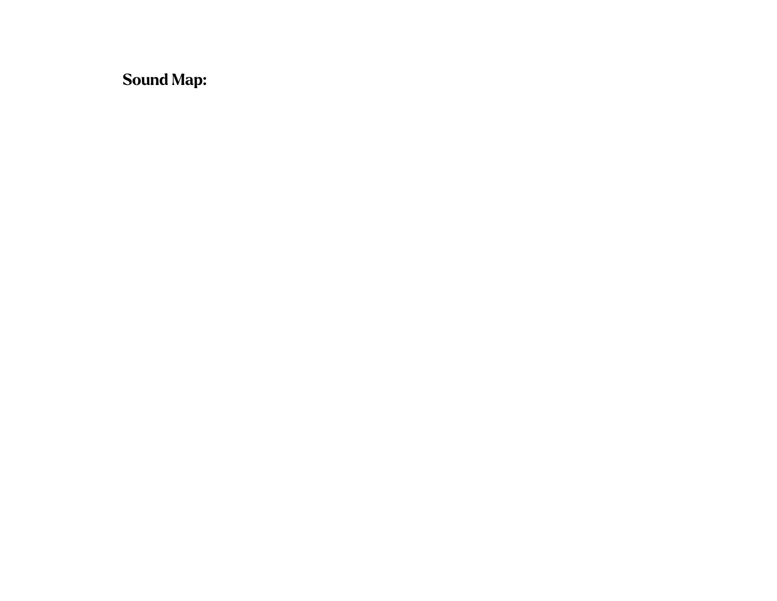**Sound Map:**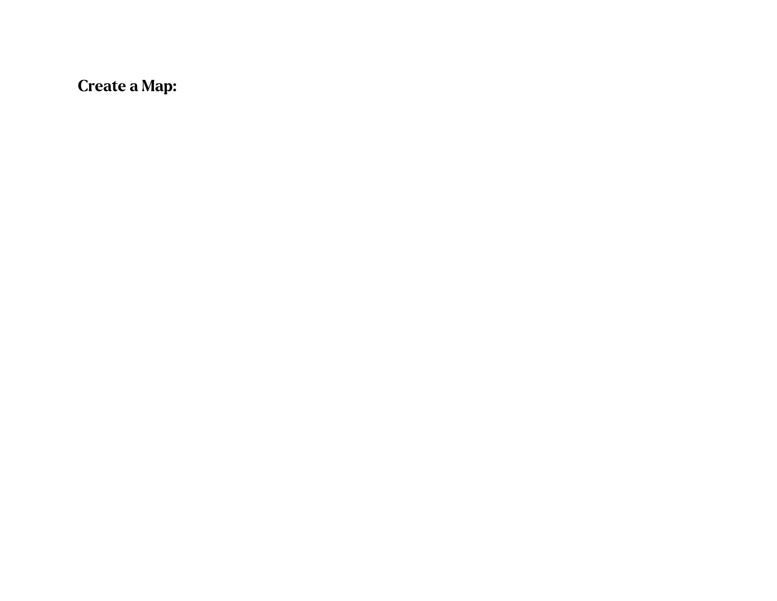**Create a Map:**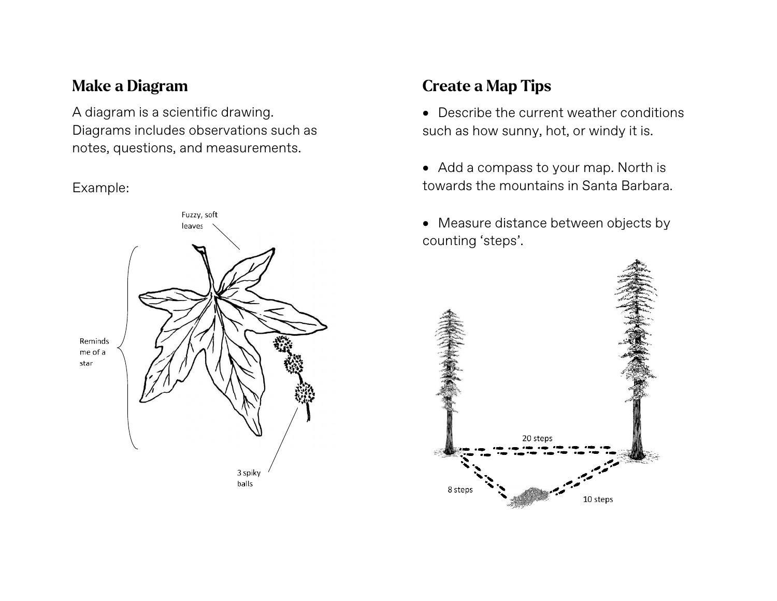## **Make a Diagram**

A diagram is a scientific drawing. Diagrams includes observations such as notes, questions, and measurements.

#### Example:



## **Create a Map Tips**

• Describe the current weather conditions such as how sunny, hot, or windy it is.

- Add a compass to your map. North is towards the mountains in Santa Barbara.
- Measure distance between objects by counting 'steps'.

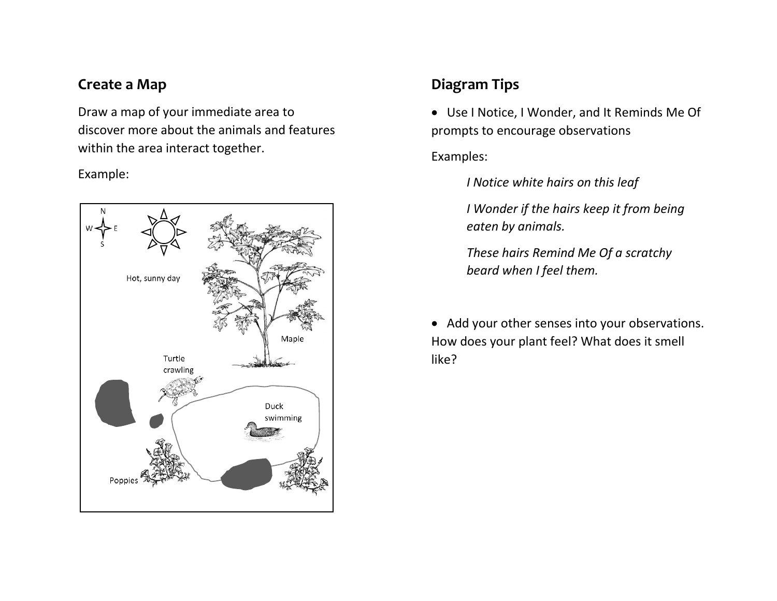### **Create a Map**

Draw a map of your immediate area to discover more about the animals and features within the area interact together.

#### Example:



## **Diagram Tips**

• Use I Notice, I Wonder, and It Reminds Me Of prompts to encourage observations

#### Examples:

*I Notice white hairs on this leaf*

*I Wonder if the hairs keep it from being eaten by animals.*

*These hairs Remind Me Of a scratchy beard when I feel them.*

• Add your other senses into your observations. How does your plant feel? What does it smell like?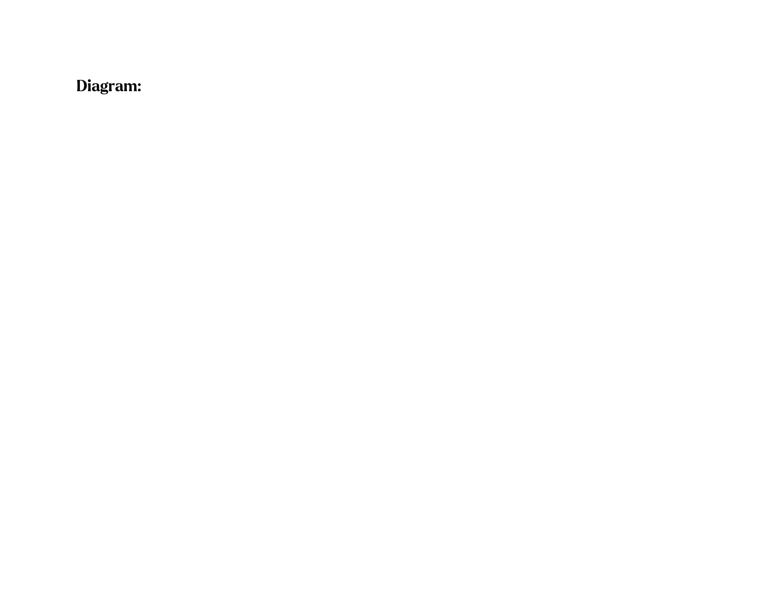# **Diagram:**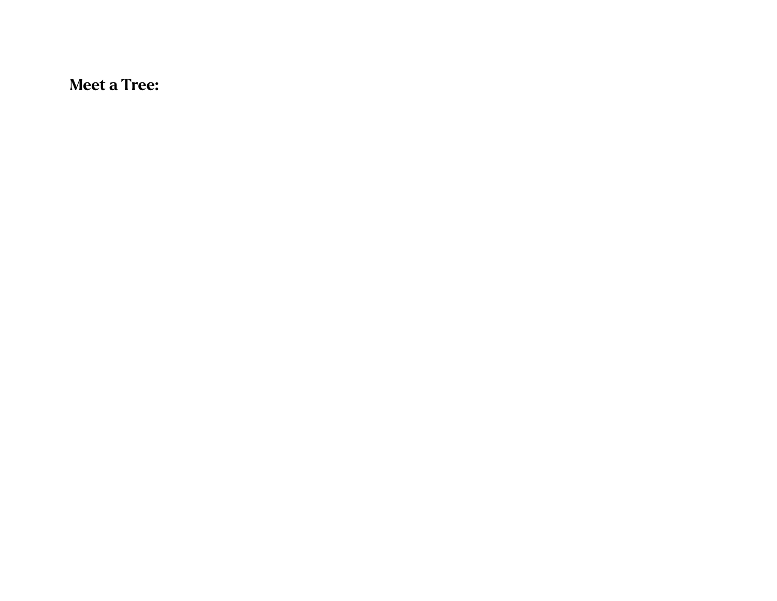**Meet a Tree:**